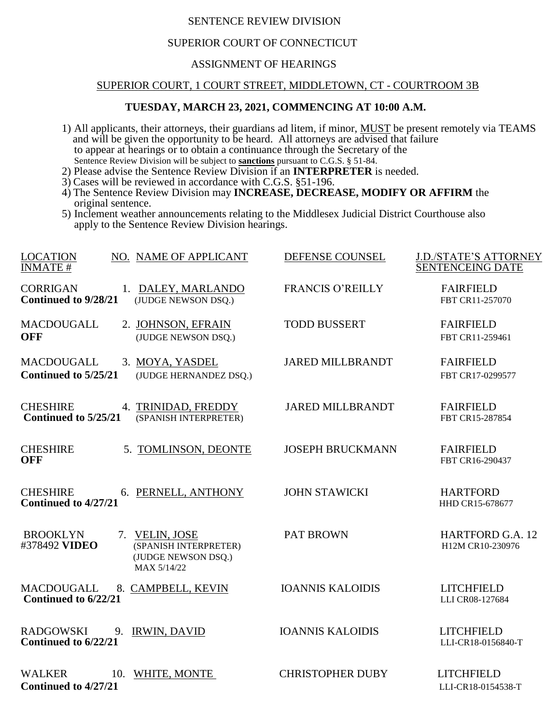## SENTENCE REVIEW DIVISION

## SUPERIOR COURT OF CONNECTICUT

## ASSIGNMENT OF HEARINGS

# SUPERIOR COURT, 1 COURT STREET, MIDDLETOWN, CT - COURTROOM 3B

#### **TUESDAY, MARCH 23, 2021, COMMENCING AT 10:00 A.M.**

- 1) All applicants, their attorneys, their guardians ad litem, if minor, MUST be present remotely via TEAMS and will be given the opportunity to be heard. All attorneys are advised that failure to appear at hearings or to obtain a continuance through the Secretary of the Sentence Review Division will be subject to **sanctions** pursuant to C.G.S. § 51-84.
- 2) Please advise the Sentence Review Division if an **INTERPRETER** is needed.
- 3) Cases will be reviewed in accordance with C.G.S. §51-196.
- 4) The Sentence Review Division may **INCREASE, DECREASE, MODIFY OR AFFIRM** the original sentence.
- 5) Inclement weather announcements relating to the Middlesex Judicial District Courthouse also apply to the Sentence Review Division hearings.

| <b>LOCATION</b><br>NO. NAME OF APPLICANT<br><b>INMATE#</b>                                                        | DEFENSE COUNSEL         | <b>J.D./STATE'S ATTORNEY</b><br><b>SENTENCEING DATE</b> |
|-------------------------------------------------------------------------------------------------------------------|-------------------------|---------------------------------------------------------|
| <b>CORRIGAN</b><br>1. DALEY, MARLANDO<br>Continued to 9/28/21<br>(JUDGE NEWSON DSO.)                              | <b>FRANCIS O'REILLY</b> | <b>FAIRFIELD</b><br>FBT CR11-257070                     |
| MACDOUGALL<br>2. JOHNSON, EFRAIN<br><b>OFF</b><br>(JUDGE NEWSON DSQ.)                                             | <b>TODD BUSSERT</b>     | <b>FAIRFIELD</b><br>FBT CR11-259461                     |
| <b>MACDOUGALL</b><br>3. MOYA, YASDEL<br>Continued to 5/25/21<br>(JUDGE HERNANDEZ DSQ.)                            | <b>JARED MILLBRANDT</b> | <b>FAIRFIELD</b><br>FBT CR17-0299577                    |
| <b>CHESHIRE</b><br>4. TRINIDAD, FREDDY<br>Continued to 5/25/21<br>(SPANISH INTERPRETER)                           | <b>JARED MILLBRANDT</b> | <b>FAIRFIELD</b><br>FBT CR15-287854                     |
| 5. TOMLINSON, DEONTE<br><b>CHESHIRE</b><br><b>OFF</b>                                                             | <b>JOSEPH BRUCKMANN</b> | <b>FAIRFIELD</b><br>FBT CR16-290437                     |
| <b>CHESHIRE</b><br>6. PERNELL, ANTHONY<br>Continued to 4/27/21                                                    | <b>JOHN STAWICKI</b>    | <b>HARTFORD</b><br>HHD CR15-678677                      |
| <b>BROOKLYN</b><br>7. VELIN, JOSE<br>#378492 VIDEO<br>(SPANISH INTERPRETER)<br>(JUDGE NEWSON DSQ.)<br>MAX 5/14/22 | <b>PAT BROWN</b>        | <b>HARTFORD G.A. 12</b><br>H12M CR10-230976             |
| <b>MACDOUGALL</b><br>8. CAMPBELL, KEVIN<br>Continued to 6/22/21                                                   | <b>IOANNIS KALOIDIS</b> | <b>LITCHFIELD</b><br>LLI CR08-127684                    |
| <b>RADGOWSKI</b><br>9. IRWIN, DAVID<br>Continued to 6/22/21                                                       | <b>IOANNIS KALOIDIS</b> | <b>LITCHFIELD</b><br>LLI-CR18-0156840-T                 |
| <b>WALKER</b><br>10. WHITE, MONTE<br>Continued to 4/27/21                                                         | <b>CHRISTOPHER DUBY</b> | <b>LITCHFIELD</b><br>LLI-CR18-0154538-T                 |